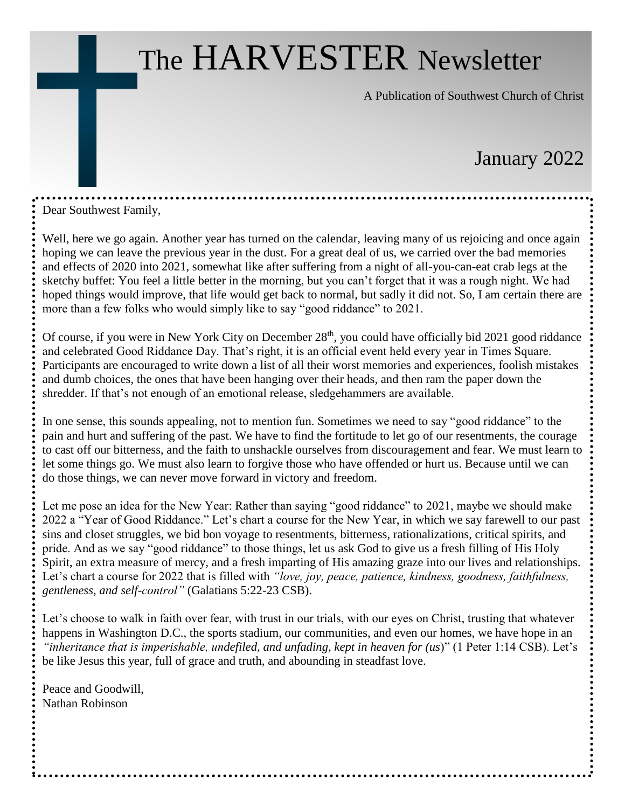# The HARVESTER Newsletter

A Publication of Southwest Church of Christ

## January 2022

Dear Southwest Family,

Well, here we go again. Another year has turned on the calendar, leaving many of us rejoicing and once again hoping we can leave the previous year in the dust. For a great deal of us, we carried over the bad memories and effects of 2020 into 2021, somewhat like after suffering from a night of all-you-can-eat crab legs at the sketchy buffet: You feel a little better in the morning, but you can't forget that it was a rough night. We had hoped things would improve, that life would get back to normal, but sadly it did not. So, I am certain there are more than a few folks who would simply like to say "good riddance" to 2021.

Of course, if you were in New York City on December 28<sup>th</sup>, you could have officially bid 2021 good riddance and celebrated Good Riddance Day. That's right, it is an official event held every year in Times Square. Participants are encouraged to write down a list of all their worst memories and experiences, foolish mistakes and dumb choices, the ones that have been hanging over their heads, and then ram the paper down the shredder. If that's not enough of an emotional release, sledgehammers are available.

In one sense, this sounds appealing, not to mention fun. Sometimes we need to say "good riddance" to the pain and hurt and suffering of the past. We have to find the fortitude to let go of our resentments, the courage to cast off our bitterness, and the faith to unshackle ourselves from discouragement and fear. We must learn to let some things go. We must also learn to forgive those who have offended or hurt us. Because until we can do those things, we can never move forward in victory and freedom.

Let me pose an idea for the New Year: Rather than saying "good riddance" to 2021, maybe we should make 2022 a "Year of Good Riddance." Let's chart a course for the New Year, in which we say farewell to our past sins and closet struggles, we bid bon voyage to resentments, bitterness, rationalizations, critical spirits, and pride. And as we say "good riddance" to those things, let us ask God to give us a fresh filling of His Holy Spirit, an extra measure of mercy, and a fresh imparting of His amazing graze into our lives and relationships. Let's chart a course for 2022 that is filled with *"love, joy, peace, patience, kindness, goodness, faithfulness, gentleness, and self-control"* (Galatians 5:22-23 CSB).

Let's choose to walk in faith over fear, with trust in our trials, with our eyes on Christ, trusting that whatever happens in Washington D.C., the sports stadium, our communities, and even our homes, we have hope in an *"inheritance that is imperishable, undefiled, and unfading, kept in heaven for (us*)" (1 Peter 1:14 CSB). Let's be like Jesus this year, full of grace and truth, and abounding in steadfast love.

Peace and Goodwill, Nathan Robinson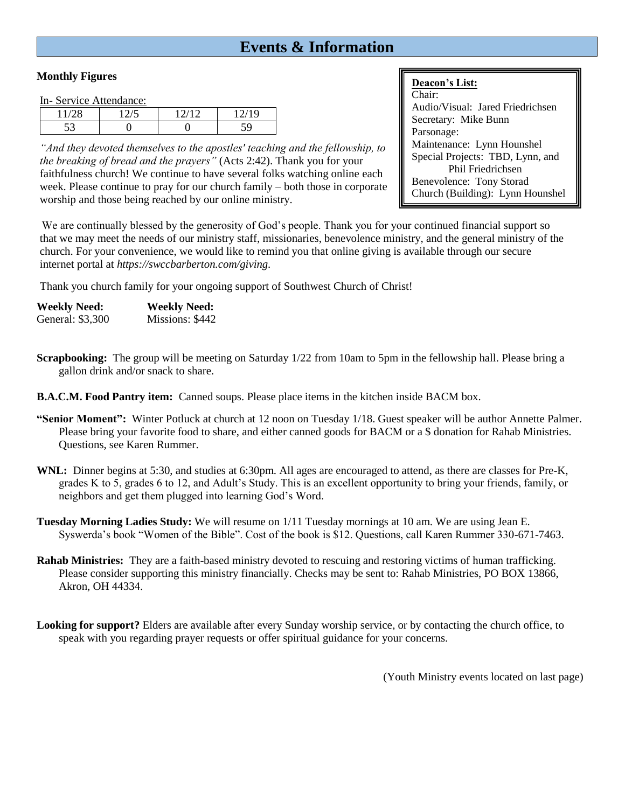## **Events & Information**

#### **Monthly Figures**

In- Service Attendance:

|                | $\bigcap$ $\bigcap$ | (10)<br>ч |  |  |
|----------------|---------------------|-----------|--|--|
| $\overline{r}$ | ັ                   |           |  |  |

*"And they devoted themselves to the apostles' teaching and the fellowship, to the breaking of bread and the prayers"* (Acts 2:42). Thank you for your faithfulness church! We continue to have several folks watching online each week. Please continue to pray for our church family – both those in corporate worship and those being reached by our online ministry.

## **Deacon's List:**

Chair: Audio/Visual: Jared Friedrichsen Secretary: Mike Bunn Parsonage: Maintenance: Lynn Hounshel Special Projects: TBD, Lynn, and Phil Friedrichsen Benevolence: Tony Storad Church (Building): Lynn Hounshel

We are continually blessed by the generosity of God's people. Thank you for your continued financial support so that we may meet the needs of our ministry staff, missionaries, benevolence ministry, and the general ministry of the church. For your convenience, we would like to remind you that online giving is available through our secure internet portal at *https://swccbarberton.com/giving.*

Thank you church family for your ongoing support of Southwest Church of Christ!

| <b>Weekly Need:</b> | <b>Weekly Need:</b> |
|---------------------|---------------------|
| General: \$3,300    | Missions: \$442     |

**Scrapbooking:** The group will be meeting on Saturday  $1/22$  from 10am to 5pm in the fellowship hall. Please bring a gallon drink and/or snack to share.

**B.A.C.M. Food Pantry item:** Canned soups. Please place items in the kitchen inside BACM box.

- **"Senior Moment":** Winter Potluck at church at 12 noon on Tuesday 1/18. Guest speaker will be author Annette Palmer. Please bring your favorite food to share, and either canned goods for BACM or a \$ donation for Rahab Ministries. Questions, see Karen Rummer.
- **WNL:** Dinner begins at 5:30, and studies at 6:30pm. All ages are encouraged to attend, as there are classes for Pre-K, grades K to 5, grades 6 to 12, and Adult's Study. This is an excellent opportunity to bring your friends, family, or neighbors and get them plugged into learning God's Word.
- **Tuesday Morning Ladies Study:** We will resume on 1/11 Tuesday mornings at 10 am. We are using Jean E. Syswerda's book "Women of the Bible". Cost of the book is \$12. Questions, call Karen Rummer 330-671-7463.
- **Rahab Ministries:** They are a faith-based ministry devoted to rescuing and restoring victims of human trafficking. Please consider supporting this ministry financially. Checks may be sent to: Rahab Ministries, PO BOX 13866, Akron, OH 44334.
- **Looking for support?** Elders are available after every Sunday worship service, or by contacting the church office, to speak with you regarding prayer requests or offer spiritual guidance for your concerns.

(Youth Ministry events located on last page)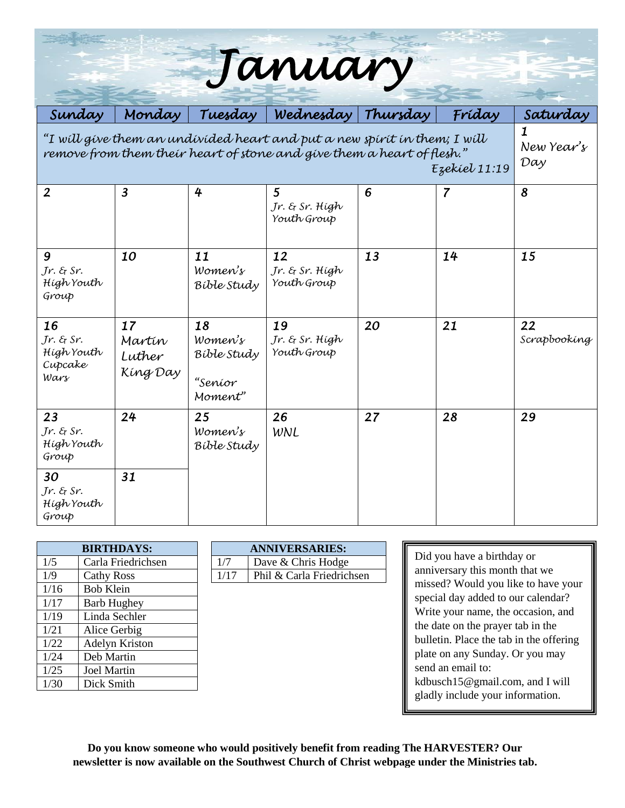| January                                                                                                                                             |                                    |                                                    |                                     |    |                |                    |  |  |
|-----------------------------------------------------------------------------------------------------------------------------------------------------|------------------------------------|----------------------------------------------------|-------------------------------------|----|----------------|--------------------|--|--|
| Sunday                                                                                                                                              | Monday                             | Tuesday                                            | Wednesday Thursday                  |    | Fríday         | Saturday           |  |  |
| "I will give them an undivided heart and put a new spirit in them; I will<br>remove from them their heart of stone and give them a heart of flesh." | $\mathbf{1}$<br>New Year's<br>Day  |                                                    |                                     |    |                |                    |  |  |
| $\overline{2}$                                                                                                                                      | $\overline{3}$                     | 4                                                  | 5<br>Jr. & Sr. Hígh<br>Youth Group  | 6  | $\overline{7}$ | 8                  |  |  |
| 9<br>$Jr.$ & Sr.<br>Hígh Youth<br>Group                                                                                                             | 10                                 | 11<br>Women's<br>Bible Study                       | 12<br>Jr. & Sr. High<br>Youth Group | 13 | 14             | 15                 |  |  |
| 16<br>$Jr.$ & Sr.<br>High Youth<br>Cupcake<br>Wars                                                                                                  | 17<br>Martín<br>Luther<br>King Day | 18<br>Women's<br>Bible Study<br>"Seníor<br>Moment" | 19<br>Jr. & Sr. High<br>Youth Group | 20 | 21             | 22<br>Scrapbooking |  |  |
| 23<br>$Jr.$ & Sr.<br>Hígh Youth<br>Group                                                                                                            | 24                                 | 25<br>Women's<br>Bible Study                       | 26<br><b>WNL</b>                    | 27 | 28             | 29                 |  |  |
| 30<br>$Jr.$ & Sr.<br>Hígh Youth<br>Group                                                                                                            | 31                                 |                                                    |                                     |    |                |                    |  |  |

|      | <b>BIRTHDAYS:</b>     |      | <b>ANNIVERSARIES:</b> |
|------|-----------------------|------|-----------------------|
| 1/5  | Carla Friedrichsen    | 1/7  | Dave & Chris Hodge    |
| 1/9  | <b>Cathy Ross</b>     | 1/17 | Phil & Carla Friedric |
| 1/16 | <b>Bob Klein</b>      |      |                       |
| 1/17 | <b>Barb Hughey</b>    |      |                       |
| 1/19 | Linda Sechler         |      |                       |
| 1/21 | Alice Gerbig          |      |                       |
| 1/22 | <b>Adelyn Kriston</b> |      |                       |
| 1/24 | Deb Martin            |      |                       |
| 1/25 | <b>Joel Martin</b>    |      |                       |
| 1/30 | Dick Smith            |      |                       |

| <b>BIRTHDAYS:</b> |                    | <b>ANNIVERSARIES:</b> |                           |  |
|-------------------|--------------------|-----------------------|---------------------------|--|
| 1/5               | Carla Friedrichsen |                       | Dave & Chris Hodge        |  |
| 1/9               | <b>Cathy Ross</b>  |                       | Phil & Carla Friedrichsen |  |

Did you have a birthday or anniversary this month that we missed? Would you like to have your special day added to our calendar? Write your name, the occasion, and the date on the prayer tab in the bulletin. Place the tab in the offering plate on any Sunday. Or you may send an email to: kdbusch15@gmail.com, and I will gladly include your information.

**Do you know someone who would positively benefit from reading The HARVESTER? Our newsletter is now available on the Southwest Church of Christ webpage under the Ministries tab.**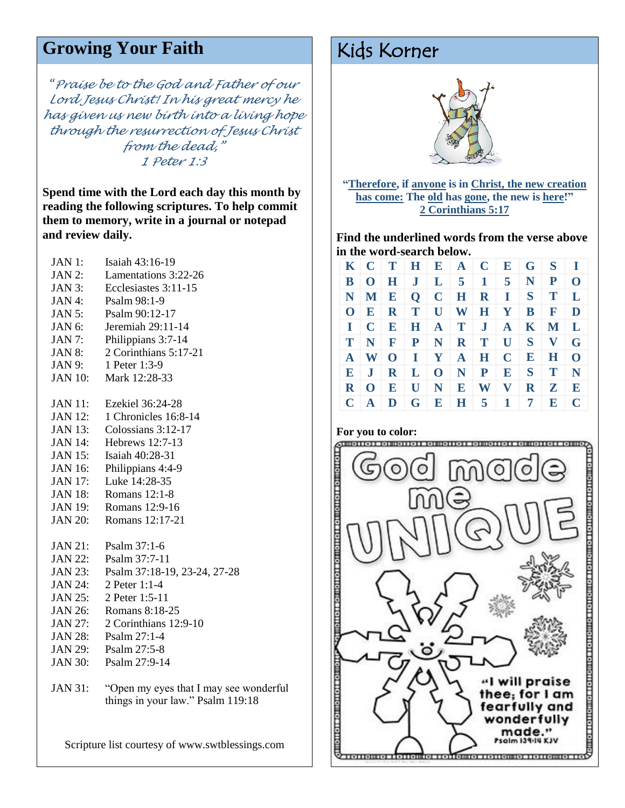## Growing Your Faith Kids Korner

*"Praise be to the God and Father of our Lord Jesus Christ! In his great mercy he has given us new birth into a living hope through the resurrection of Jesus Christ from the dead," 1 Peter 1:3*

**Spend time with the Lord each day this month by reading the following scriptures. To help commit them to memory, write in a journal or notepad and review daily.**

| JAN 1:         | Isaiah 43:16-19              |
|----------------|------------------------------|
| <b>JAN 2:</b>  | Lamentations 3:22-26         |
| <b>JAN 3:</b>  | Ecclesiastes 3:11-15         |
| JAN 4:         | Psalm 98:1-9                 |
| <b>JAN 5:</b>  | Psalm 90:12-17               |
| JAN 6:         | Jeremiah 29:11-14            |
| <b>JAN 7:</b>  | Philippians 3:7-14           |
| <b>JAN 8:</b>  | 2 Corinthians 5:17-21        |
| JAN 9:         | 1 Peter 1:3-9                |
| <b>JAN 10:</b> | Mark 12:28-33                |
| <b>JAN 11:</b> | Ezekiel 36:24-28             |
| <b>JAN 12:</b> | 1 Chronicles 16:8-14         |
| <b>JAN 13:</b> | Colossians 3:12-17           |
| <b>JAN 14:</b> | Hebrews 12:7-13              |
| <b>JAN 15:</b> | Isaiah 40:28-31              |
| <b>JAN 16:</b> | Philippians 4:4-9            |
| <b>JAN 17:</b> | Luke 14:28-35                |
| <b>JAN 18:</b> | <b>Romans 12:1-8</b>         |
| <b>JAN 19:</b> | Romans 12:9-16               |
| <b>JAN 20:</b> | Romans 12:17-21              |
| <b>JAN 21:</b> | Psalm $37:1-6$               |
| <b>JAN 22:</b> | Psalm 37:7-11                |
| <b>JAN 23:</b> | Psalm 37:18-19, 23-24, 27-28 |
| <b>JAN 24:</b> | 2 Peter 1:1-4                |
| <b>JAN 25:</b> | 2 Peter 1:5-11               |
| <b>JAN 26:</b> | Romans 8:18-25               |
| <b>JAN 27:</b> | 2 Corinthians 12:9-10        |
| <b>JAN 28:</b> | Psalm $27:1-4$               |
| <b>JAN 29:</b> | Psalm 27:5-8                 |
| <b>JAN 30:</b> | Psalm 27:9-14                |
|                |                              |

JAN 31: "Open my eyes that I may see wonderful things in your law." Psalm 119:18

Scripture list courtesy of www.swtblessings.com



**"Therefore, if anyone is in Christ, the new creation has come: The old has gone, the new is here!" 2 Corinthians 5:17**

**Find the underlined words from the verse above in the word-search below.** 

|  |  |  |  | $K \mid C \mid T \mid H \mid E \mid A \mid C \mid E \mid G \mid S \mid I$      |  |
|--|--|--|--|--------------------------------------------------------------------------------|--|
|  |  |  |  | $B$   O   H   J   L   5   1   5   N   P   O                                    |  |
|  |  |  |  | $N$   M   E   Q   C   H   R   I   S   T   L                                    |  |
|  |  |  |  | $O   E   R   T   U   W   H   Y   B   F   D$                                    |  |
|  |  |  |  | $I \mid C \mid E \mid H \mid A \mid T \mid J \mid A \mid K \mid M \mid L$      |  |
|  |  |  |  | $T   N   F   P   N   R   T   U   S   V   G$                                    |  |
|  |  |  |  | $A \mid W \mid O \mid I \mid Y \mid A \mid H \mid C \mid E \mid H \mid O \mid$ |  |
|  |  |  |  | $E$   J   R   L   O   N   P   E   S   T   N                                    |  |
|  |  |  |  | $R$ O $E$ U N E W V R Z E                                                      |  |
|  |  |  |  | $C   A   D   G   E   H   5   1   7   E   C$                                    |  |

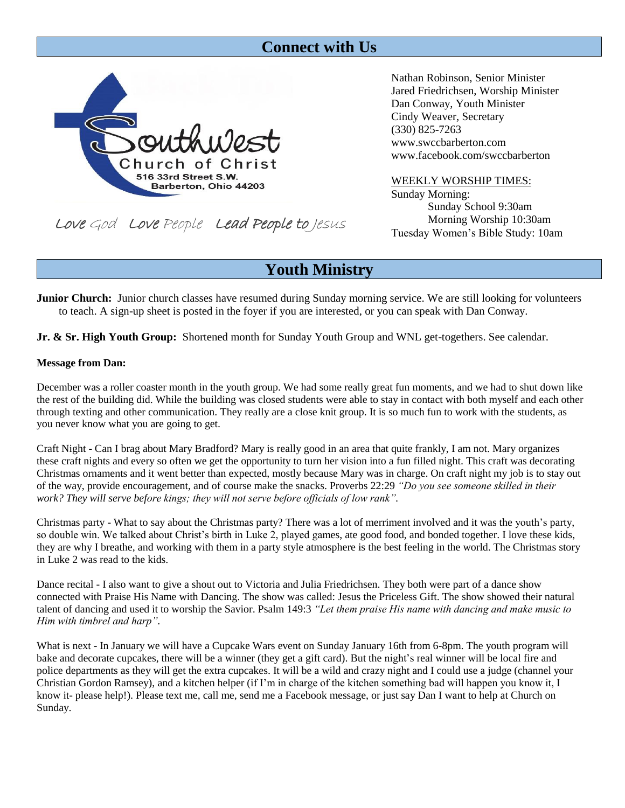## **Connect with Us**



www.facebook.com/swccbarberton WEEKLY WORSHIP TIMES:

Sunday Morning: Sunday School 9:30am Morning Worship 10:30am Tuesday Women's Bible Study: 10am

Nathan Robinson, Senior Minister Jared Friedrichsen, Worship Minister

Dan Conway, Youth Minister Cindy Weaver, Secretary

www.swccbarberton.com

(330) 825-7263

Love God Love People Lead People to Jesus

## **Youth Ministry**

**Junior Church:** Junior church classes have resumed during Sunday morning service. We are still looking for volunteers to teach. A sign-up sheet is posted in the foyer if you are interested, or you can speak with Dan Conway.

**Jr. & Sr. High Youth Group:** Shortened month for Sunday Youth Group and WNL get-togethers. See calendar.

### **Message from Dan:**

December was a roller coaster month in the youth group. We had some really great fun moments, and we had to shut down like the rest of the building did. While the building was closed students were able to stay in contact with both myself and each other through texting and other communication. They really are a close knit group. It is so much fun to work with the students, as you never know what you are going to get.

Craft Night - Can I brag about Mary Bradford? Mary is really good in an area that quite frankly, I am not. Mary organizes these craft nights and every so often we get the opportunity to turn her vision into a fun filled night. This craft was decorating Christmas ornaments and it went better than expected, mostly because Mary was in charge. On craft night my job is to stay out of the way, provide encouragement, and of course make the snacks. Proverbs 22:29 *"Do you see someone skilled in their work? They will serve before kings; they will not serve before officials of low rank".*

Christmas party - What to say about the Christmas party? There was a lot of merriment involved and it was the youth's party, so double win. We talked about Christ's birth in Luke 2, played games, ate good food, and bonded together. I love these kids, they are why I breathe, and working with them in a party style atmosphere is the best feeling in the world. The Christmas story in Luke 2 was read to the kids.

Dance recital - I also want to give a shout out to Victoria and Julia Friedrichsen. They both were part of a dance show connected with Praise His Name with Dancing. The show was called: Jesus the Priceless Gift. The show showed their natural talent of dancing and used it to worship the Savior. Psalm 149:3 *"Let them praise His name with dancing and make music to Him with timbrel and harp".*

What is next - In January we will have a Cupcake Wars event on Sunday January 16th from 6-8pm. The youth program will bake and decorate cupcakes, there will be a winner (they get a gift card). But the night's real winner will be local fire and police departments as they will get the extra cupcakes. It will be a wild and crazy night and I could use a judge (channel your Christian Gordon Ramsey), and a kitchen helper (if I'm in charge of the kitchen something bad will happen you know it, I know it- please help!). Please text me, call me, send me a Facebook message, or just say Dan I want to help at Church on Sunday.